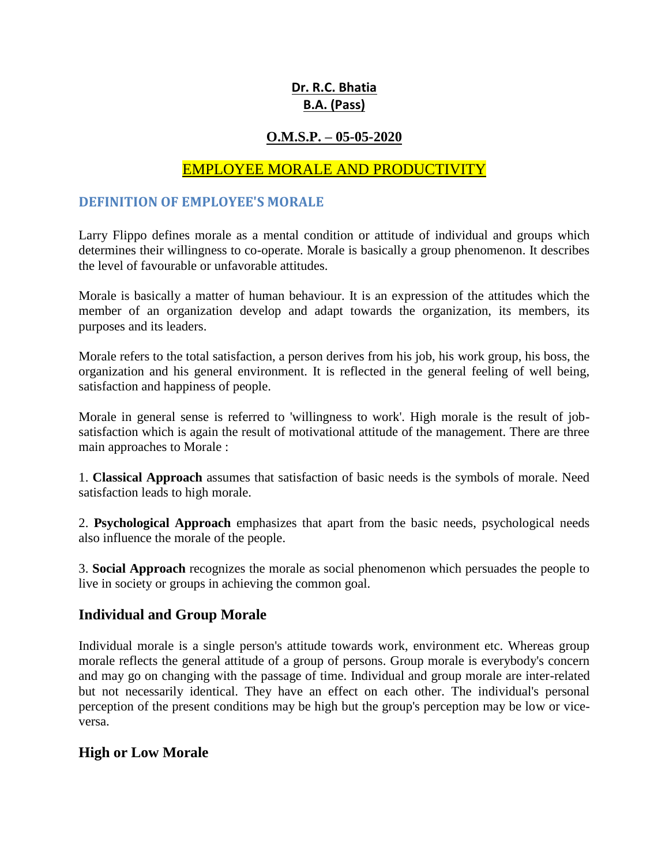# **Dr. R.C. Bhatia B.A. (Pass)**

# **O.M.S.P. – 05-05-2020**

# EMPLOYEE MORALE AND PRODUCTIVITY

#### **DEFINITION OF EMPLOYEE'S MORALE**

Larry Flippo defines morale as a mental condition or attitude of individual and groups which determines their willingness to co-operate. Morale is basically a group phenomenon. It describes the level of favourable or unfavorable attitudes.

Morale is basically a matter of human behaviour. It is an expression of the attitudes which the member of an organization develop and adapt towards the organization, its members, its purposes and its leaders.

Morale refers to the total satisfaction, a person derives from his job, his work group, his boss, the organization and his general environment. It is reflected in the general feeling of well being, satisfaction and happiness of people.

Morale in general sense is referred to 'willingness to work'. High morale is the result of jobsatisfaction which is again the result of motivational attitude of the management. There are three main approaches to Morale :

1. **Classical Approach** assumes that satisfaction of basic needs is the symbols of morale. Need satisfaction leads to high morale.

2. **Psychological Approach** emphasizes that apart from the basic needs, psychological needs also influence the morale of the people.

3. **Social Approach** recognizes the morale as social phenomenon which persuades the people to live in society or groups in achieving the common goal.

#### **Individual and Group Morale**

Individual morale is a single person's attitude towards work, environment etc. Whereas group morale reflects the general attitude of a group of persons. Group morale is everybody's concern and may go on changing with the passage of time. Individual and group morale are inter-related but not necessarily identical. They have an effect on each other. The individual's personal perception of the present conditions may be high but the group's perception may be low or viceversa.

# **High or Low Morale**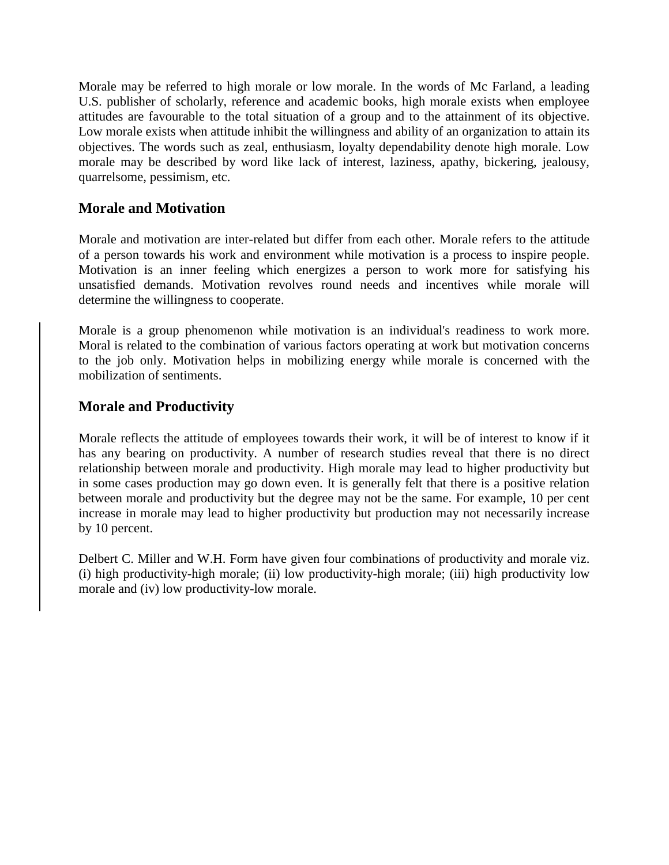Morale may be referred to high morale or low morale. In the words of Mc Farland, a leading U.S. publisher of scholarly, reference and academic books, high morale exists when employee attitudes are favourable to the total situation of a group and to the attainment of its objective. Low morale exists when attitude inhibit the willingness and ability of an organization to attain its objectives. The words such as zeal, enthusiasm, loyalty dependability denote high morale. Low morale may be described by word like lack of interest, laziness, apathy, bickering, jealousy, quarrelsome, pessimism, etc.

## **Morale and Motivation**

Morale and motivation are inter-related but differ from each other. Morale refers to the attitude of a person towards his work and environment while motivation is a process to inspire people. Motivation is an inner feeling which energizes a person to work more for satisfying his unsatisfied demands. Motivation revolves round needs and incentives while morale will determine the willingness to cooperate.

Morale is a group phenomenon while motivation is an individual's readiness to work more. Moral is related to the combination of various factors operating at work but motivation concerns to the job only. Motivation helps in mobilizing energy while morale is concerned with the mobilization of sentiments.

## **Morale and Productivity**

Morale reflects the attitude of employees towards their work, it will be of interest to know if it has any bearing on productivity. A number of research studies reveal that there is no direct relationship between morale and productivity. High morale may lead to higher productivity but in some cases production may go down even. It is generally felt that there is a positive relation between morale and productivity but the degree may not be the same. For example, 10 per cent increase in morale may lead to higher productivity but production may not necessarily increase by 10 percent.

Delbert C. Miller and W.H. Form have given four combinations of productivity and morale viz. (i) high productivity-high morale; (ii) low productivity-high morale; (iii) high productivity low morale and (iv) low productivity-low morale.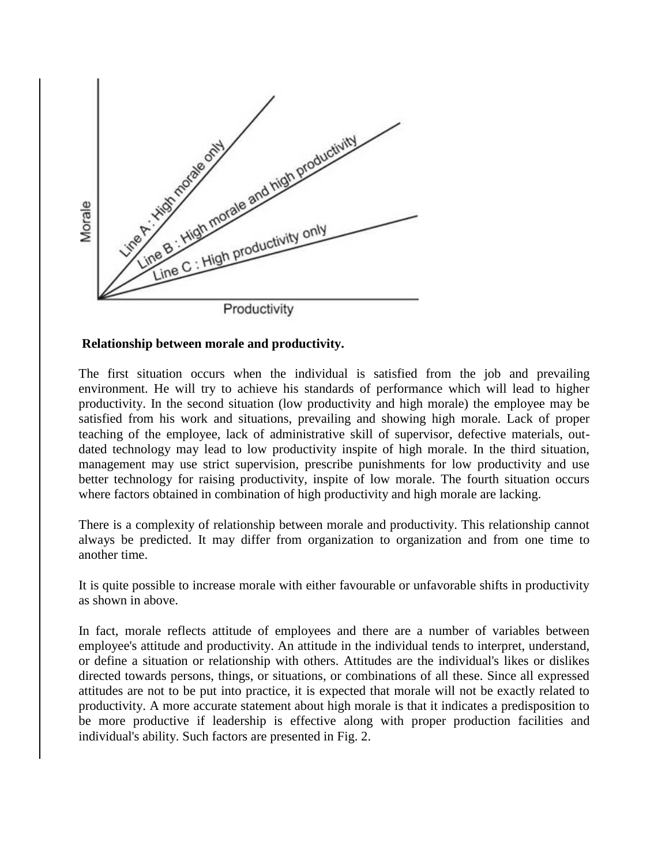

#### **Relationship between morale and productivity.**

The first situation occurs when the individual is satisfied from the job and prevailing environment. He will try to achieve his standards of performance which will lead to higher productivity. In the second situation (low productivity and high morale) the employee may be satisfied from his work and situations, prevailing and showing high morale. Lack of proper teaching of the employee, lack of administrative skill of supervisor, defective materials, outdated technology may lead to low productivity inspite of high morale. In the third situation, management may use strict supervision, prescribe punishments for low productivity and use better technology for raising productivity, inspite of low morale. The fourth situation occurs where factors obtained in combination of high productivity and high morale are lacking.

There is a complexity of relationship between morale and productivity. This relationship cannot always be predicted. It may differ from organization to organization and from one time to another time.

It is quite possible to increase morale with either favourable or unfavorable shifts in productivity as shown in above.

In fact, morale reflects attitude of employees and there are a number of variables between employee's attitude and productivity. An attitude in the individual tends to interpret, understand, or define a situation or relationship with others. Attitudes are the individual's likes or dislikes directed towards persons, things, or situations, or combinations of all these. Since all expressed attitudes are not to be put into practice, it is expected that morale will not be exactly related to productivity. A more accurate statement about high morale is that it indicates a predisposition to be more productive if leadership is effective along with proper production facilities and individual's ability. Such factors are presented in Fig. 2.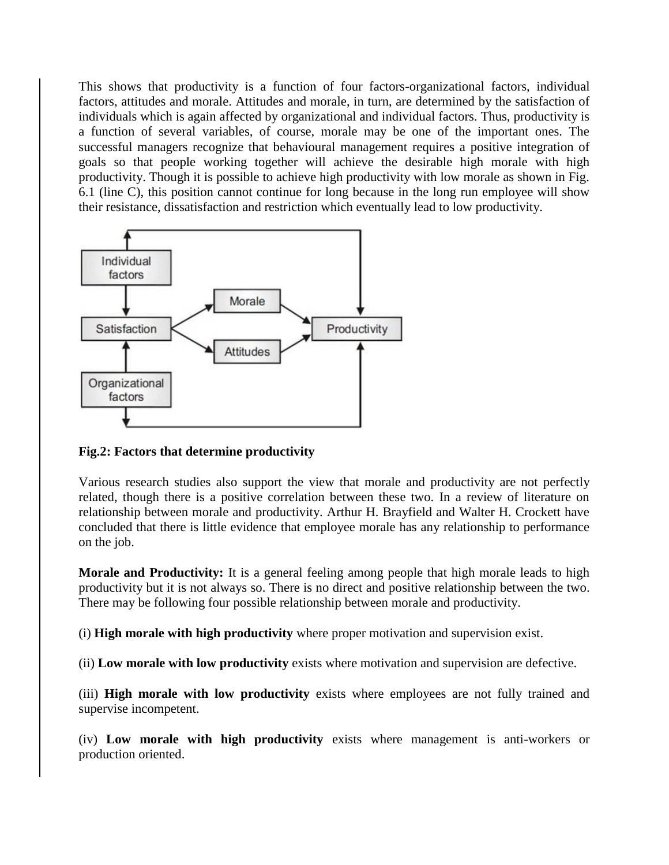This shows that productivity is a function of four factors-organizational factors, individual factors, attitudes and morale. Attitudes and morale, in turn, are determined by the satisfaction of individuals which is again affected by organizational and individual factors. Thus, productivity is a function of several variables, of course, morale may be one of the important ones. The successful managers recognize that behavioural management requires a positive integration of goals so that people working together will achieve the desirable high morale with high productivity. Though it is possible to achieve high productivity with low morale as shown in Fig. 6.1 (line C), this position cannot continue for long because in the long run employee will show their resistance, dissatisfaction and restriction which eventually lead to low productivity.



#### **Fig.2: Factors that determine productivity**

Various research studies also support the view that morale and productivity are not perfectly related, though there is a positive correlation between these two. In a review of literature on relationship between morale and productivity. Arthur H. Brayfield and Walter H. Crockett have concluded that there is little evidence that employee morale has any relationship to performance on the job.

**Morale and Productivity:** It is a general feeling among people that high morale leads to high productivity but it is not always so. There is no direct and positive relationship between the two. There may be following four possible relationship between morale and productivity.

(i) **High morale with high productivity** where proper motivation and supervision exist.

(ii) **Low morale with low productivity** exists where motivation and supervision are defective.

(iii) **High morale with low productivity** exists where employees are not fully trained and supervise incompetent.

(iv) **Low morale with high productivity** exists where management is anti-workers or production oriented.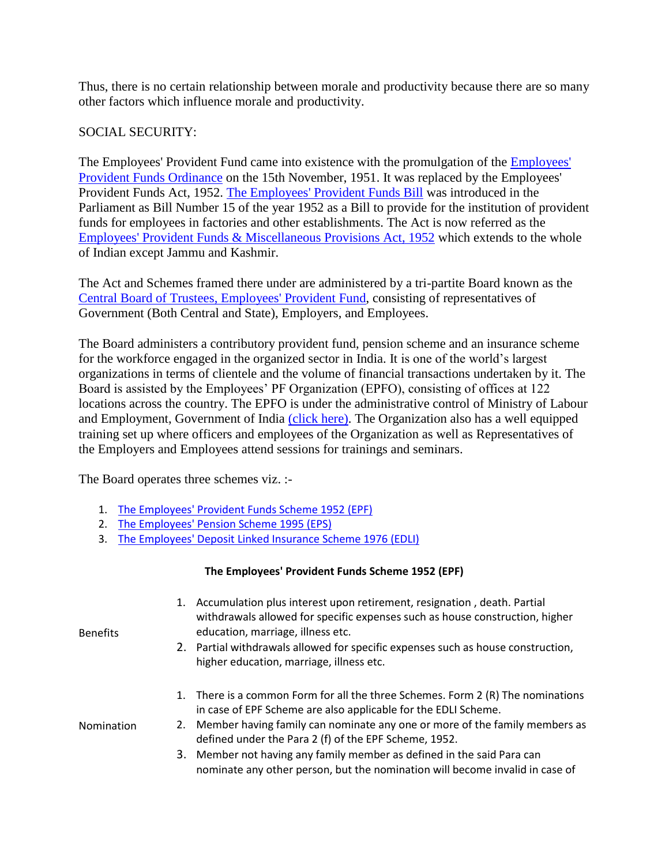Thus, there is no certain relationship between morale and productivity because there are so many other factors which influence morale and productivity.

### SOCIAL SECURITY:

The Employees' Provident Fund came into existence with the promulgation of the [Employees'](https://www.epfindia.gov.in/site_docs/PDFs/Downloads_PDFs/ACT_081951_15111951.pdf)  [Provident Funds Ordinance](https://www.epfindia.gov.in/site_docs/PDFs/Downloads_PDFs/ACT_081951_15111951.pdf) on the 15th November, 1951. It was replaced by the Employees' Provident Funds Act, 1952. [The Employees' Provident Funds Bill](https://www.epfindia.gov.in/site_docs/PDFs/Downloads_PDFs/EPF_Bill_1952.pdf) was introduced in the Parliament as Bill Number 15 of the year 1952 as a Bill to provide for the institution of provident funds for employees in factories and other establishments. The Act is now referred as the [Employees' Provident Funds & Miscellaneous Provisions Act, 1952](https://www.epfindia.gov.in/site_docs/PDFs/Downloads_PDFs/EPFAct1952.pdf) which extends to the whole of Indian except Jammu and Kashmir.

The Act and Schemes framed there under are administered by a tri-partite Board known as the [Central Board of Trustees, Employees' Provident Fund,](https://www.epfindia.gov.in/site_en/Our_Board.php) consisting of representatives of Government (Both Central and State), Employers, and Employees.

The Board administers a contributory provident fund, pension scheme and an insurance scheme for the workforce engaged in the organized sector in India. It is one of the world's largest organizations in terms of clientele and the volume of financial transactions undertaken by it. The Board is assisted by the Employees' PF Organization (EPFO), consisting of offices at 122 locations across the country. The EPFO is under the administrative control of Ministry of Labour and Employment, Government of India [\(click here\).](https://www.epfindia.gov.in/site_docs/PDFs/Downloads_PDFs/abr18.pdf) The Organization also has a well equipped training set up where officers and employees of the Organization as well as Representatives of the Employers and Employees attend sessions for trainings and seminars.

The Board operates three schemes viz. :-

- 1. [The Employees' Provident Funds Scheme 1952 \(EPF\)](https://www.epfindia.gov.in/site_docs/PDFs/Downloads_PDFs/EPFScheme.pdf)
- 2. [The Employees' Pension Scheme 1995 \(EPS\)](https://www.epfindia.gov.in/site_docs/PDFs/Downloads_PDFs/EPS95_update102008.pdf)
- 3. [The Employees' Deposit Linked Insurance Scheme 1976 \(EDLI\)](https://www.epfindia.gov.in/site_docs/PDFs/Downloads_PDFs/EDLI_1976.pdf)

#### **The Employees' Provident Funds Scheme 1952 (EPF)**

| Benefits   | 1. Accumulation plus interest upon retirement, resignation, death. Partial<br>withdrawals allowed for specific expenses such as house construction, higher<br>education, marriage, illness etc.<br>2. Partial withdrawals allowed for specific expenses such as house construction, |
|------------|-------------------------------------------------------------------------------------------------------------------------------------------------------------------------------------------------------------------------------------------------------------------------------------|
|            | higher education, marriage, illness etc.                                                                                                                                                                                                                                            |
|            | 1. There is a common Form for all the three Schemes. Form 2 (R) The nominations<br>in case of EPF Scheme are also applicable for the EDLI Scheme.                                                                                                                                   |
| Nomination | 2. Member having family can nominate any one or more of the family members as<br>defined under the Para 2 (f) of the EPF Scheme, 1952.                                                                                                                                              |
|            | 3. Member not having any family member as defined in the said Para can<br>nominate any other person, but the nomination will become invalid in case of                                                                                                                              |